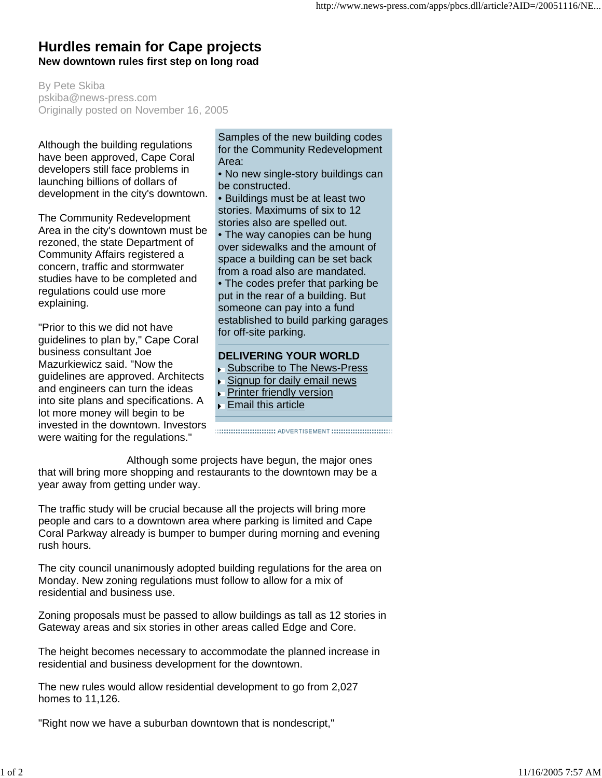## **Hurdles remain for Cape projects New downtown rules first step on long road**

By Pete Skiba pskiba@news-press.com Originally posted on November 16, 2005

Although the building regulations have been approved, Cape Coral developers still face problems in launching billions of dollars of development in the city's downtown.

The Community Redevelopment Area in the city's downtown must be rezoned, the state Department of Community Affairs registered a concern, traffic and stormwater studies have to be completed and regulations could use more explaining.

"Prior to this we did not have guidelines to plan by," Cape Coral business consultant Joe Mazurkiewicz said. "Now the guidelines are approved. Architects and engineers can turn the ideas into site plans and specifications. A lot more money will begin to be invested in the downtown. Investors were waiting for the regulations."

Samples of the new building codes for the Community Redevelopment Area:

- No new single-story buildings can be constructed.
- Buildings must be at least two stories. Maximums of six to 12 stories also are spelled out.
- The way canopies can be hung over sidewalks and the amount of space a building can be set back from a road also are mandated.
- The codes prefer that parking be put in the rear of a building. But someone can pay into a fund established to build parking garages for off-site parking.

## **DELIVERING YOUR WORLD**

- ▶ Subscribe to The News-Press
- Signup for daily email news
- **Printer friendly version**
- **Email this article**

Although some projects have begun, the major ones that will bring more shopping and restaurants to the downtown may be a year away from getting under way.

The traffic study will be crucial because all the projects will bring more people and cars to a downtown area where parking is limited and Cape Coral Parkway already is bumper to bumper during morning and evening rush hours.

The city council unanimously adopted building regulations for the area on Monday. New zoning regulations must follow to allow for a mix of residential and business use.

Zoning proposals must be passed to allow buildings as tall as 12 stories in Gateway areas and six stories in other areas called Edge and Core.

The height becomes necessary to accommodate the planned increase in residential and business development for the downtown.

The new rules would allow residential development to go from 2,027 homes to 11,126.

"Right now we have a suburban downtown that is nondescript,"